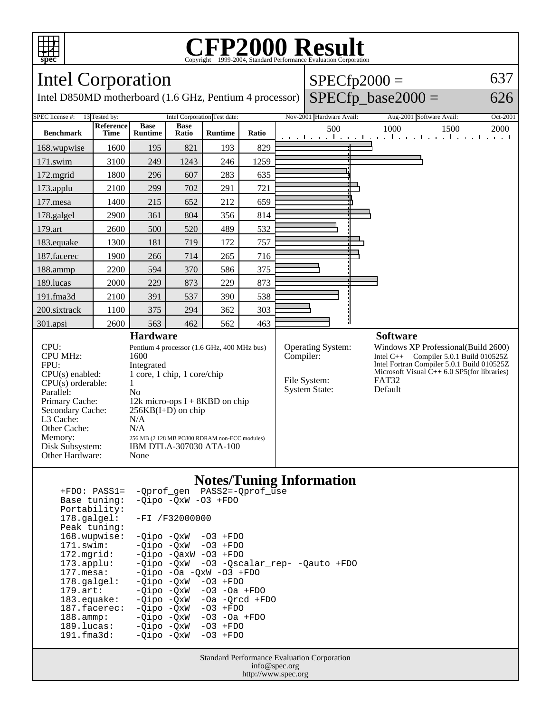

## **CFP2000 Result** Copyright ©1999-2004, Standard Performance Evaluati



| Portability:          |                                             |  |
|-----------------------|---------------------------------------------|--|
| 178.qalqel:           | $-FI / F32000000$                           |  |
| Peak tuning:          |                                             |  |
| 168.wupwise:          | $-Oipo -OXW - O3 + FDO$                     |  |
| 171.swim:             | $-Oipo$ $-OxW$ $-O3$ $+FDO$                 |  |
| $172.\text{mgrid}:$   | $-Oipo$ $-OaxW$ $-O3$ $+FDO$                |  |
| $173.\text{applu}:$   | -03 -Qscalar_rep- -Qauto +FDO<br>-Oipo -OxW |  |
| 177.mesa:             | $-Oipo -Oa -OXW -O3 + FDO$                  |  |
| $178.\text{qalgel}$ : | $-Oipo$ $-OxW$ $-O3$ $+FDO$                 |  |
| $179.\text{art}:$     | $-Oipo$ $-OxW$ $-O3$ $-Oa$ $+FDO$           |  |
| $183$ .equake:        | -Oipo -OxW<br>$-0a$ $-0rcd$ $+FD0$          |  |
| 187.facerec:          | -Oipo -OxW<br>$-03$ +FDO                    |  |
| $188.\text{amp}:$     | -Oipo -OxW<br>$-03$ $-0a$ $+FDO$            |  |
| 189.lucas:            | -Oipo -OxW<br>$-03$ +FDO                    |  |
| 191.fma3d:            | -Oipo -OxW<br>$-03$ +FDO                    |  |
|                       |                                             |  |

Standard Performance Evaluation Corporation info@spec.org http://www.spec.org